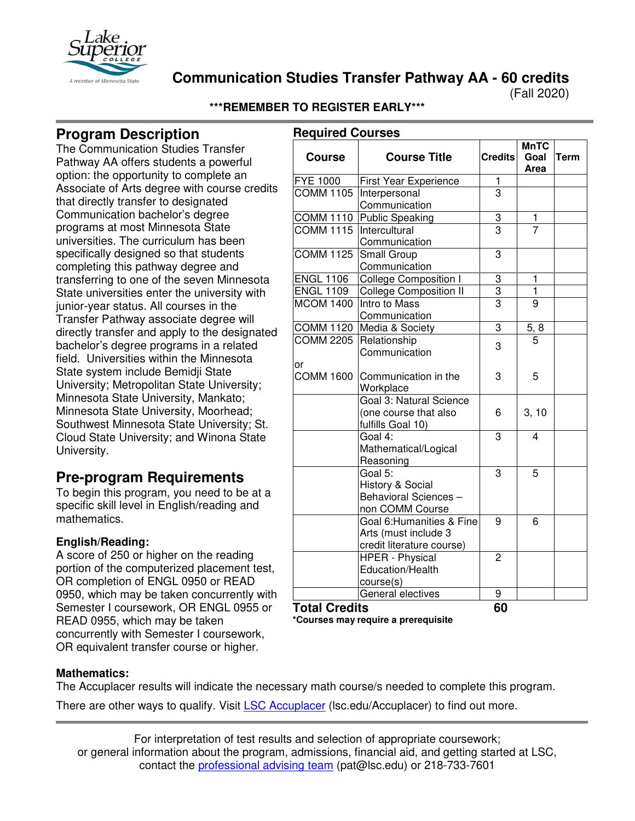

**Communication Studies Transfer Pathway AA - 60 credits**

(Fall 2020)

**\*\*\*REMEMBER TO REGISTER EARLY\*\*\***

# **Program Description**

The Communication Studies Transfer Pathway AA offers students a powerful option: the opportunity to complete an Associate of Arts degree with course credits that directly transfer to designated Communication bachelor's degree programs at most Minnesota State universities. The curriculum has been specifically designed so that students completing this pathway degree and transferring to one of the seven Minnesota State universities enter the university with junior-year status. All courses in the Transfer Pathway associate degree will directly transfer and apply to the designated bachelor's degree programs in a related field. Universities within the Minnesota State system include Bemidji State University; Metropolitan State University; Minnesota State University, Mankato; Minnesota State University, Moorhead; Southwest Minnesota State University; St. Cloud State University; and Winona State University.

# **Pre-program Requirements**

To begin this program, you need to be at a specific skill level in English/reading and mathematics.

## **English/Reading:**

A score of 250 or higher on the reading portion of the computerized placement test, OR completion of ENGL 0950 or READ 0950, which may be taken concurrently with Semester I coursework, OR ENGL 0955 or READ 0955, which may be taken concurrently with Semester I coursework, OR equivalent transfer course or higher.

| <b>Required Courses</b> |                               |                | <b>MnTC</b>             |             |
|-------------------------|-------------------------------|----------------|-------------------------|-------------|
| <b>Course</b>           | <b>Course Title</b>           | <b>Credits</b> | Goal<br>Area            | <b>Term</b> |
| <b>FYE 1000</b>         | First Year Experience         | 1              |                         |             |
| <b>COMM 1105</b>        | Interpersonal                 | $\overline{3}$ |                         |             |
|                         | Communication                 |                |                         |             |
| <b>COMM 1110</b>        | <b>Public Speaking</b>        | 3              | 1                       |             |
| <b>COMM 1115</b>        | Intercultural                 | $\overline{3}$ | $\overline{7}$          |             |
|                         | Communication                 |                |                         |             |
| <b>COMM 1125</b>        | Small Group                   | 3              |                         |             |
|                         | Communication                 |                |                         |             |
| <b>ENGL 1106</b>        | <b>College Composition I</b>  | 3              | 1                       |             |
| <b>ENGL 1109</b>        | <b>College Composition II</b> | $\overline{3}$ | $\overline{\mathbf{1}}$ |             |
| <b>MCOM 1400</b>        | Intro to Mass                 | $\overline{3}$ | $\overline{9}$          |             |
|                         | Communication                 |                |                         |             |
| <b>COMM 1120</b>        | Media & Society               | $\overline{3}$ | 5, 8                    |             |
| <b>COMM 2205</b>        | Relationship                  | 3              | 5                       |             |
|                         | Communication                 |                |                         |             |
| or                      |                               |                |                         |             |
| <b>COMM 1600</b>        | Communication in the          | 3              | 5                       |             |
|                         | Workplace                     |                |                         |             |
|                         | Goal 3: Natural Science       |                |                         |             |
|                         | (one course that also         | 6              | 3, 10                   |             |
|                         | fulfills Goal 10)             |                |                         |             |
|                         | Goal 4:                       | 3              | 4                       |             |
|                         | Mathematical/Logical          |                |                         |             |
|                         | Reasoning                     |                |                         |             |
|                         | Goal 5:                       | 3              | 5                       |             |
|                         | History & Social              |                |                         |             |
|                         | Behavioral Sciences -         |                |                         |             |
|                         | non COMM Course               |                |                         |             |
|                         | Goal 6: Humanities & Fine     | $\overline{9}$ | 6                       |             |
|                         | Arts (must include 3          |                |                         |             |
|                         | credit literature course)     |                |                         |             |
|                         | <b>HPER - Physical</b>        | $\overline{c}$ |                         |             |
|                         | Education/Health              |                |                         |             |
|                         | course(s)                     |                |                         |             |
|                         | General electives             | 9              |                         |             |
| <b>Total Credits</b>    |                               | 60             |                         |             |

**\*Courses may require a prerequisite**

## **Mathematics:**

The Accuplacer results will indicate the necessary math course/s needed to complete this program.

There are other ways to qualify. Visit [LSC Accuplacer](https://www.lsc.edu/accuplacer/) (lsc.edu/Accuplacer) to find out more.

For interpretation of test results and selection of appropriate coursework; or general information about the program, admissions, financial aid, and getting started at LSC, contact the [professional advising team](mailto:pat@lsc.edu) (pat@lsc.edu) or 218-733-7601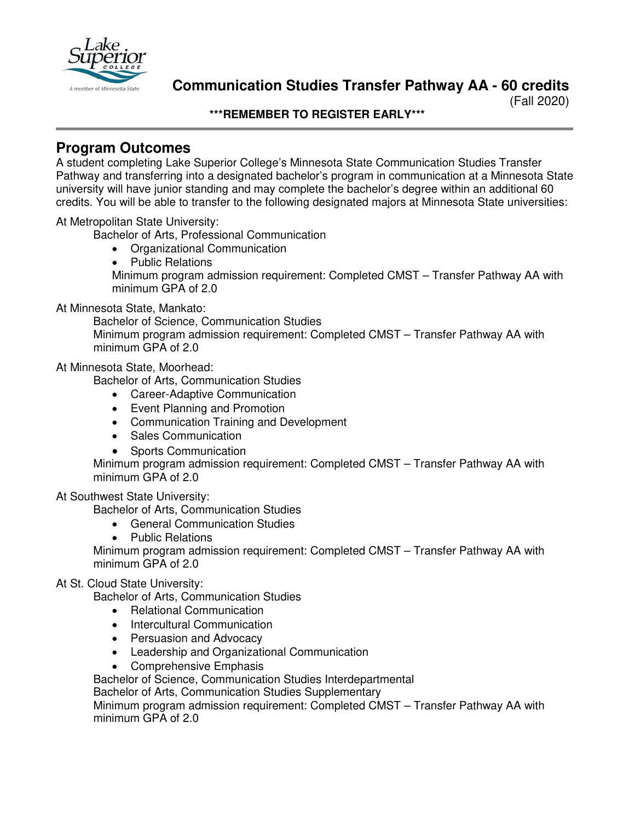

**Communication Studies Transfer Pathway AA - 60 credits**

(Fall 2020)

**\*\*\*REMEMBER TO REGISTER EARLY\*\*\***

# **Program Outcomes**

A student completing Lake Superior College's Minnesota State Communication Studies Transfer Pathway and transferring into a designated bachelor's program in communication at a Minnesota State university will have junior standing and may complete the bachelor's degree within an additional 60 credits. You will be able to transfer to the following designated majors at Minnesota State universities:

At Metropolitan State University:

Bachelor of Arts, Professional Communication

- Organizational Communication
- Public Relations Minimum program admission requirement: Completed CMST – Transfer Pathway AA with minimum GPA of 2.0

### At Minnesota State, Mankato:

Bachelor of Science, Communication Studies Minimum program admission requirement: Completed CMST – Transfer Pathway AA with minimum GPA of 2.0

### At Minnesota State, Moorhead:

Bachelor of Arts, Communication Studies

- Career-Adaptive Communication
- Event Planning and Promotion
- Communication Training and Development
- Sales Communication
- Sports Communication

Minimum program admission requirement: Completed CMST – Transfer Pathway AA with minimum GPA of 2.0

## At Southwest State University:

Bachelor of Arts, Communication Studies

- General Communication Studies
- Public Relations

Minimum program admission requirement: Completed CMST – Transfer Pathway AA with minimum GPA of 2.0

#### At St. Cloud State University:

Bachelor of Arts, Communication Studies

- Relational Communication
- Intercultural Communication
- Persuasion and Advocacy
- Leadership and Organizational Communication
- Comprehensive Emphasis

Bachelor of Science, Communication Studies Interdepartmental

Bachelor of Arts, Communication Studies Supplementary

Minimum program admission requirement: Completed CMST – Transfer Pathway AA with minimum GPA of 2.0